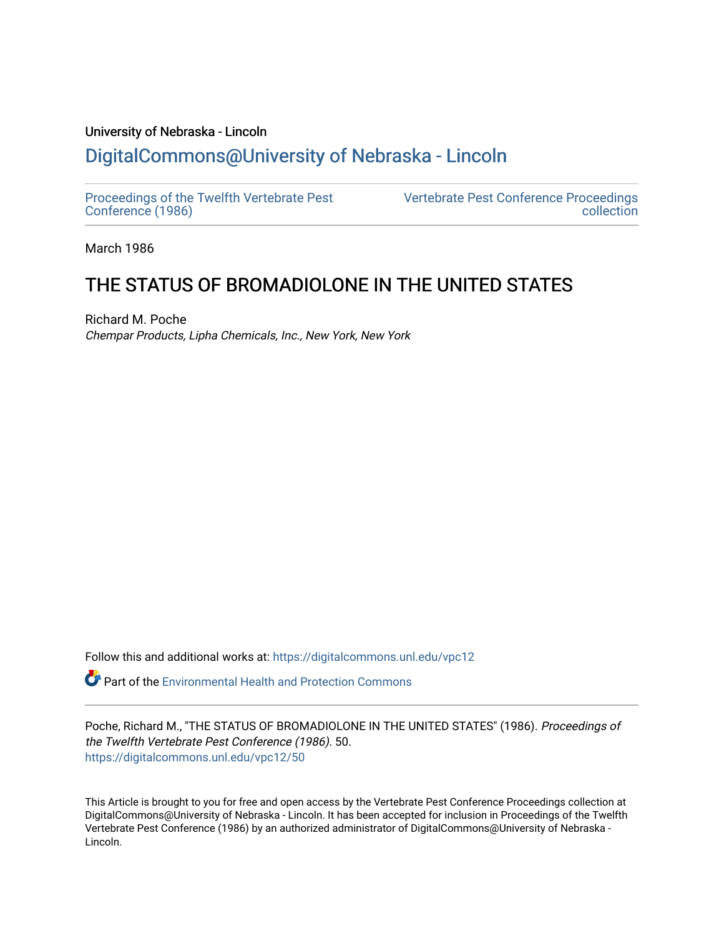# University of Nebraska - Lincoln [DigitalCommons@University of Nebraska - Lincoln](https://digitalcommons.unl.edu/)

[Proceedings of the Twelfth Vertebrate Pest](https://digitalcommons.unl.edu/vpc12)  [Conference \(1986\)](https://digitalcommons.unl.edu/vpc12)

[Vertebrate Pest Conference Proceedings](https://digitalcommons.unl.edu/vpccollection)  [collection](https://digitalcommons.unl.edu/vpccollection) 

March 1986

# THE STATUS OF BROMADIOLONE IN THE UNITED STATES

Richard M. Poche Chempar Products, Lipha Chemicals, Inc., New York, New York

Follow this and additional works at: [https://digitalcommons.unl.edu/vpc12](https://digitalcommons.unl.edu/vpc12?utm_source=digitalcommons.unl.edu%2Fvpc12%2F50&utm_medium=PDF&utm_campaign=PDFCoverPages) 

**P** Part of the Environmental Health and Protection Commons

Poche, Richard M., "THE STATUS OF BROMADIOLONE IN THE UNITED STATES" (1986). Proceedings of the Twelfth Vertebrate Pest Conference (1986). 50. [https://digitalcommons.unl.edu/vpc12/50](https://digitalcommons.unl.edu/vpc12/50?utm_source=digitalcommons.unl.edu%2Fvpc12%2F50&utm_medium=PDF&utm_campaign=PDFCoverPages) 

This Article is brought to you for free and open access by the Vertebrate Pest Conference Proceedings collection at DigitalCommons@University of Nebraska - Lincoln. It has been accepted for inclusion in Proceedings of the Twelfth Vertebrate Pest Conference (1986) by an authorized administrator of DigitalCommons@University of Nebraska - Lincoln.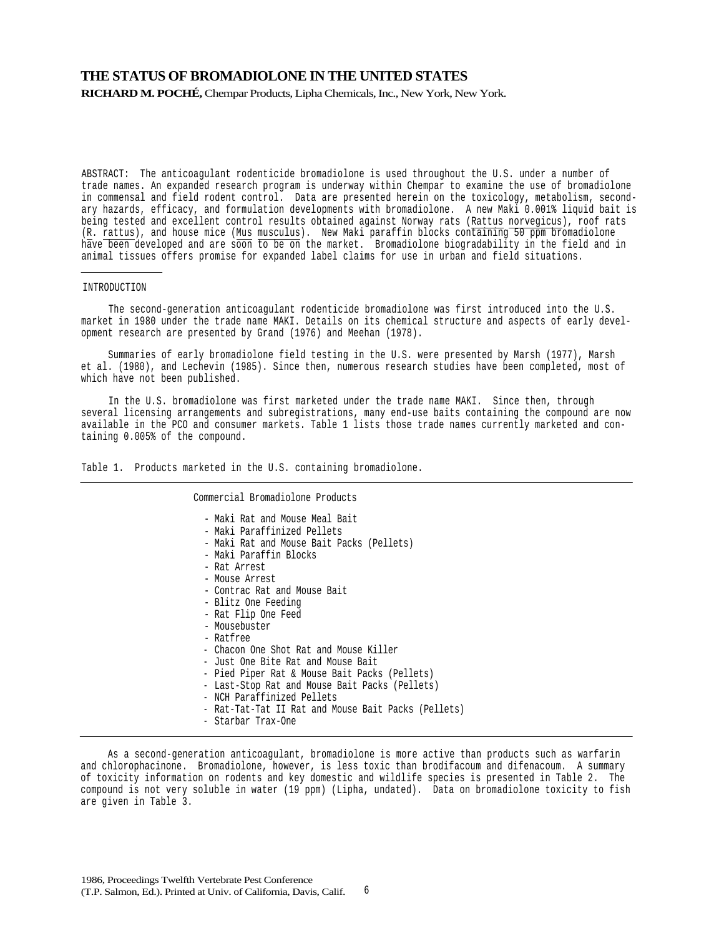## **THE STATUS OF BROMADIOLONE IN THE UNITED STATES**

**RICHARD M. POCHÉ,** Chempar Products, Lipha Chemicals, Inc., New York, New York.

ABSTRACT: The anticoagulant rodenticide bromadiolone is used throughout the U.S. under a number of trade names. An expanded research program is underway within Chempar to examine the use of bromadiolone in commensal and field rodent control. Data are presented herein on the toxicology, metabolism, secondary hazards, efficacy, and formulation developments with bromadiolone. A new Maki 0.001% liquid bait is being tested and excellent control results obtained against Norway rats (Rattus norvegicus), roof rats (R. rattus), and house mice (Mus musculus). New Maki paraffin blocks containing 50 ppm bromadiolone have been developed and are soon to be on the market. Bromadiolone biogradability in the field and in animal tissues offers promise for expanded label claims for use in urban and field situations.

#### INTRODUCTION

The second-generation anticoagulant rodenticide bromadiolone was first introduced into the U.S. market in 1980 under the trade name MAKI. Details on its chemical structure and aspects of early development research are presented by Grand (1976) and Meehan (1978).

Summaries of early bromadiolone field testing in the U.S. were presented by Marsh (1977), Marsh et al. (1980), and Lechevin (1985). Since then, numerous research studies have been completed, most of which have not been published.

In the U.S. bromadiolone was first marketed under the trade name MAKI. Since then, through several licensing arrangements and subregistrations, many end-use baits containing the compound are now available in the PCO and consumer markets. Table 1 lists those trade names currently marketed and containing 0.005% of the compound.

Table 1. Products marketed in the U.S. containing bromadiolone.

Commercial Bromadiolone Products

- Maki Rat and Mouse Meal Bait
- Maki Paraffinized Pellets
- Maki Rat and Mouse Bait Packs (Pellets) Maki Paraffin Blocks
- 
- 
- Rat Arrest
- Contrac Rat and Mouse Bait
- Blitz One Feeding
- Rat Flip One Feed Mousebuster
- 
- Ratfree
- Chacon One Shot Rat and Mouse Killer
- Just One Bite Rat and Mouse Bait
- Pied Piper Rat & Mouse Bait Packs (Pellets)
- Last-Stop Rat and Mouse Bait Packs (Pellets)
- NCH Paraffinized Pellets
- Rat-Tat-Tat II Rat and Mouse Bait Packs (Pellets)
- Starbar Trax-One

As a second-generation anticoagulant, bromadiolone is more active than products such as warfarin and chlorophacinone. Bromadiolone, however, is less toxic than brodifacoum and difenacoum. A summary of toxicity information on rodents and key domestic and wildlife species is presented in Table 2. The compound is not very soluble in water (19 ppm) (Lipha, undated). Data on bromadiolone toxicity to fish are given in Table 3.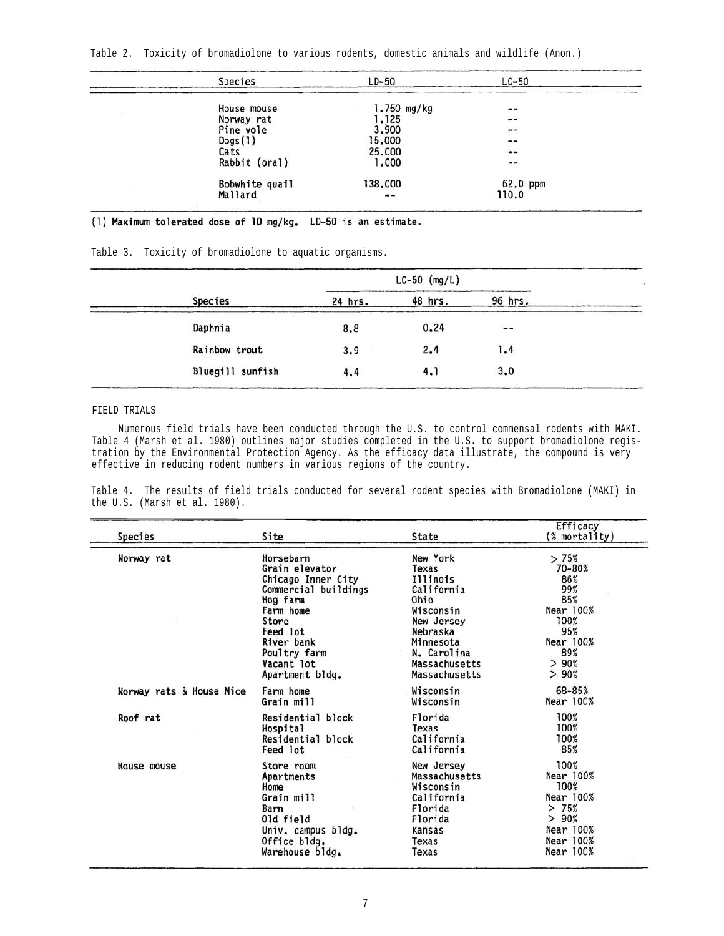| Species        | $LD-50$                  | $LC-50$       |  |
|----------------|--------------------------|---------------|--|
| House mouse    | $1.750$ mg/kg            | $- -$         |  |
| Norway rat     | 1.125                    | --            |  |
| Pine vole      | 3,900                    | $\frac{1}{2}$ |  |
| Dogs(1)        | 15,000                   | --            |  |
| Cats           | 25,000                   | $\frac{1}{2}$ |  |
| Rabbit (oral)  | 1,000                    | --            |  |
| Bobwhite quail | 138,000                  | $62.0$ ppm    |  |
| Mallard        | $\overline{\phantom{a}}$ | 110.0         |  |
|                |                          |               |  |

(1) Maximum tolerated dose of 10 mg/kg. LD-50 is an estimate.

Table 3. Toxicity of bromadiolone to aquatic organisms.

 $\overline{\phantom{a}}$  , and the set of the set of the set of the set of the set of the set of the set of the set of the set of the set of the set of the set of the set of the set of the set of the set of the set of the set of the s

|                  |         | $LC-50$ (mg/L) |                   |  |
|------------------|---------|----------------|-------------------|--|
| <b>Species</b>   | 24 hrs. | 48 hrs.        | 96 hrs.           |  |
| Daphnia          | 8.8     | 0.24           | $\qquad \qquad -$ |  |
| Rainbow trout    | 3.9     | 2.4            | 1.4               |  |
| Bluegill sunfish | 4.4     | 4.1            | 3.0               |  |

### FIELD TRIALS

Numerous field trials have been conducted through the U.S. to control commensal rodents with MAKI. Table 4 (Marsh et al. 1980) outlines major studies completed in the U.S. to support bromadiolone registration by the Environmental Protection Agency. As the efficacy data illustrate, the compound is very effective in reducing rodent numbers in various regions of the country.

Table 4. The results of field trials conducted for several rodent species with Bromadiolone (MAKI) in the U.S. (Marsh et al. 1980).

| Species                  | Site                 | State         | Efficacy<br>(% mortality) |
|--------------------------|----------------------|---------------|---------------------------|
| Norway rat               | Horsebarn            | New York      | >75%                      |
|                          | Grain elevator       | Texas         | 70-80%                    |
|                          | Chicago Inner City   | Illinois      | 86%                       |
|                          | Commercial buildings | California    | 99%                       |
|                          | Hog farm             | Ohio          | 85%                       |
|                          | Farm home            | Wisconsin     | Near 100%                 |
|                          | Store                | New Jersey    | 100%                      |
|                          | Feed lot             | Nebraska      | 95%                       |
|                          | River bank           | Minnesota     | Near 100%                 |
|                          | Poultry farm         | N. Carolina   | 89%                       |
|                          | Vacant lot           | Massachusetts | >90%                      |
|                          | Apartment bldg.      | Massachusetts | >90%                      |
| Norway rats & House Mice | Farm home            | Wisconsin     | 68-85%                    |
|                          | Grain mill           | Wisconsin     | Near 100%                 |
| Roof rat                 | Residential block    | Florida       | 100%                      |
|                          | Hospital             | Texas         | 100%                      |
|                          | Residential block    | California    | 100%                      |
|                          | Feed lot             | California    | 85%                       |
| House mouse              | Store room           | New Jersey    | 100%                      |
|                          | Apartments           | Massachusetts | Near 100%                 |
|                          | Home                 | Wisconsin     | 100%                      |
|                          | Grain mill           | California    | Near 100%                 |
|                          | Barn                 | Florida       | >75%                      |
|                          | 01d field            | Florida       | > 90%                     |
|                          | Univ. campus bldg.   | Kansas        | Near 100%                 |
|                          | Office bldg.         | Texas         | Near 100%                 |
|                          | Warehouse bldg.      | Texas         | Near 100%                 |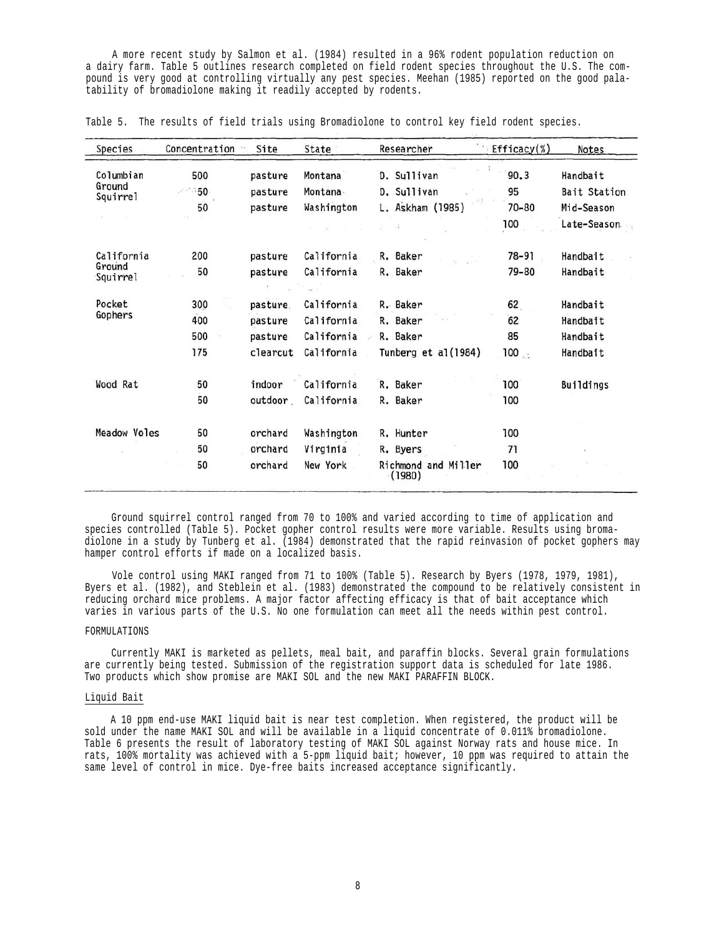A more recent study by Salmon et al. (1984) resulted in a 96% rodent population reduction on a dairy farm. Table 5 outlines research completed on field rodent species throughout the U.S. The compound is very good at controlling virtually any pest species. Meehan (1985) reported on the good palatability of bromadiolone making it readily accepted by rodents.

| Species            | Concentration | Site     | State      | Researcher                    | Efficacy $(\%)$ | Notes        |
|--------------------|---------------|----------|------------|-------------------------------|-----------------|--------------|
| Columbian          | 500           | pasture  | Montana    | D. Sullivan                   | 90.3            | Handbait     |
| Ground<br>Squirrel | - 50          | pasture  | Montana-   | D. Sullivan                   | 95              | Bait Station |
|                    | 50            | pasture  | Washington | L. Askham (1985)              | $70 - 80$       | Mid-Season   |
|                    |               |          |            | W                             | 100             | Late-Season  |
| California         | 200           | pasture  | California | R. Baker                      | 78-91           | Handbait     |
| Ground<br>Squirrel | 50            | pasture  | California | R. Baker                      | 79-80           | Handbait     |
| Pocket             | 300           | pasture. | California | R. Baker                      | 62              | Handbait     |
| Gophers            | 400           | pasture  | California | R. Baker                      | 62              | Handbait     |
|                    | 500           | pasture  | California | R. Baker                      | 85              | Handbait     |
|                    | 175           | clearcut | California | Tunberg et al(1984)           | $100_{\pm 1}$   | Handbait     |
| Wood Rat           | 50            | indoor   | California | R. Baker                      | 100             | Buildings    |
|                    | 50            | outdoor  | California | R. Baker                      | 100             |              |
| Meadow Voles       | 50            | orchard  | Washington | R. Hunter                     | 100             |              |
|                    | 50            | orchard  | Virginia   | R. Byers                      | 71              |              |
|                    | 50            | orchard  | New York   | Richmond and Miller<br>(1980) | 100             |              |

Table 5. The results of field trials using Bromadiolone to control key field rodent species.

Ground squirrel control ranged from 70 to 100% and varied according to time of application and species controlled (Table 5). Pocket gopher control results were more variable. Results using bromadiolone in a study by Tunberg et al. (1984) demonstrated that the rapid reinvasion of pocket gophers may hamper control efforts if made on a localized basis.

Vole control using MAKI ranged from 71 to 100% (Table 5). Research by Byers (1978, 1979, 1981), Byers et al. (1982), and Steblein et al. (1983) demonstrated the compound to be relatively consistent in reducing orchard mice problems. A major factor affecting efficacy is that of bait acceptance which varies in various parts of the U.S. No one formulation can meet all the needs within pest control.

### FORMULATIONS

Currently MAKI is marketed as pellets, meal bait, and paraffin blocks. Several grain formulations are currently being tested. Submission of the registration support data is scheduled for late 1986. Two products which show promise are MAKI SOL and the new MAKI PARAFFIN BLOCK.

#### Liquid Bait

A 10 ppm end-use MAKI liquid bait is near test completion. When registered, the product will be sold under the name MAKI SOL and will be available in a liquid concentrate of 0.011% bromadiolone. Table 6 presents the result of laboratory testing of MAKI SOL against Norway rats and house mice. In rats, 100% mortality was achieved with a 5-ppm liquid bait; however, 10 ppm was required to attain the same level of control in mice. Dye-free baits increased acceptance significantly.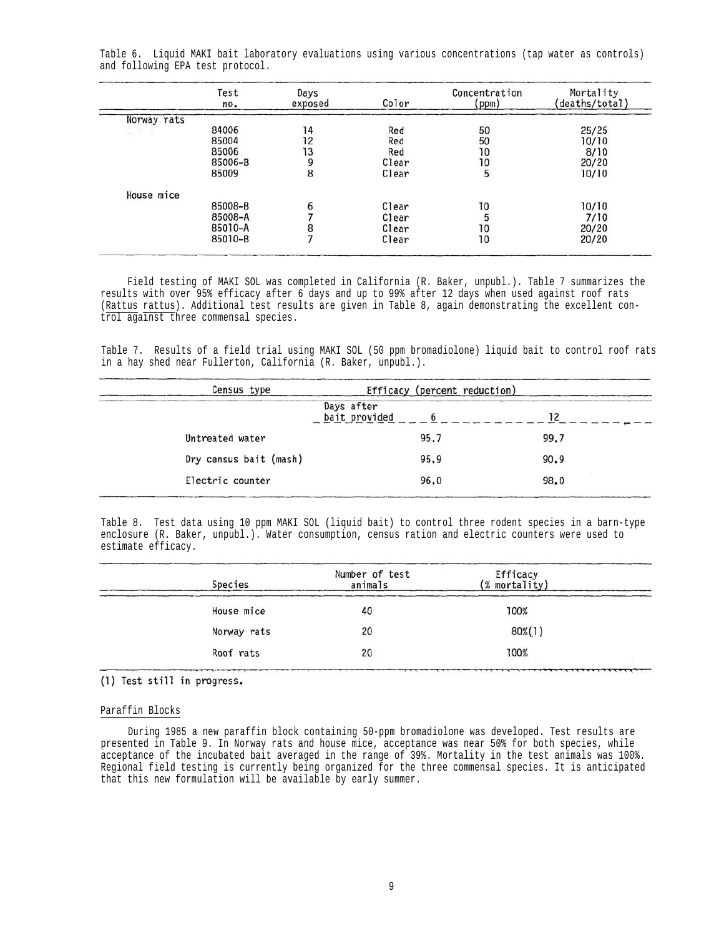|             | Test<br>no. | Days<br>exposed | Color | Concentration<br>(ppm) | Mortality<br>(deaths/total) |
|-------------|-------------|-----------------|-------|------------------------|-----------------------------|
| Norway rats |             |                 |       |                        |                             |
| 89 I D      | 84006       | 14              | Red   | 50                     | 25/25                       |
|             | 85004       | 12              | Red   | 50                     | 10/10                       |
|             | 85006       | 13              | Red   | 10                     | 8/10                        |
|             | 85006-B     | 9               | Clear | 10                     | 20/20                       |
|             | 85009       | 8               | Clear | 5                      | 10/10                       |
| House mice  |             |                 |       |                        |                             |
|             | 85008-B     | 6               | Clear | 10                     | 10/10                       |
|             | 85008-A     |                 | Clear |                        | 7/10                        |
|             | 85010-A     |                 | Clear | 10                     | 20/20                       |
|             | 85010-B     |                 | Clear | 10                     | 20/20                       |

Table 6. Liquid MAKI bait laboratory evaluations using various concentrations (tap water as controls) and following EPA test protocol.

Field testing of MAKI SOL was completed in California (R. Baker, unpubl.). Table 7 summarizes the results with over 95% efficacy after 6 days and up to 99% after 12 days when used against roof rats (Rattus rattus). Additional test results are given in Table 8, again demonstrating the excellent control against three commensal species.

Table 7. Results of a field trial using MAKI SOL (50 ppm bromadiolone) liquid bait to control roof rats in a hay shed near Fullerton, California (R. Baker, unpubl.).

| Census type            | Efficacy (percent reduction) |      |
|------------------------|------------------------------|------|
|                        | Days after<br>bait provided  | 12   |
| Untreated water        | 95.7                         | 99.7 |
| Dry census bait (mash) | 95.9                         | 90.9 |
| Electric counter       | 96.0                         | 98.0 |

Table 8. Test data using 10 ppm MAKI SOL (liquid bait) to control three rodent species in a barn-type enclosure (R. Baker, unpubl.). Water consumption, census ration and electric counters were used to estimate efficacy.

| Species     | Number of test<br>animals | Efficacy<br>(% mortality) |  |
|-------------|---------------------------|---------------------------|--|
| House mice  | 40                        | 100%                      |  |
| Norway rats | 20                        | 80%(1)                    |  |
| Roof rats   | 20                        | 100%                      |  |

(1) Test still in progress.

#### Paraffin Blocks

During 1985 a new paraffin block containing 50-ppm bromadiolone was developed. Test results are presented in Table 9. In Norway rats and house mice, acceptance was near 50% for both species, while acceptance of the incubated bait averaged in the range of 39%. Mortality in the test animals was 100%. Regional field testing is currently being organized for the three commensal species. It is anticipated that this new formulation will be available by early summer.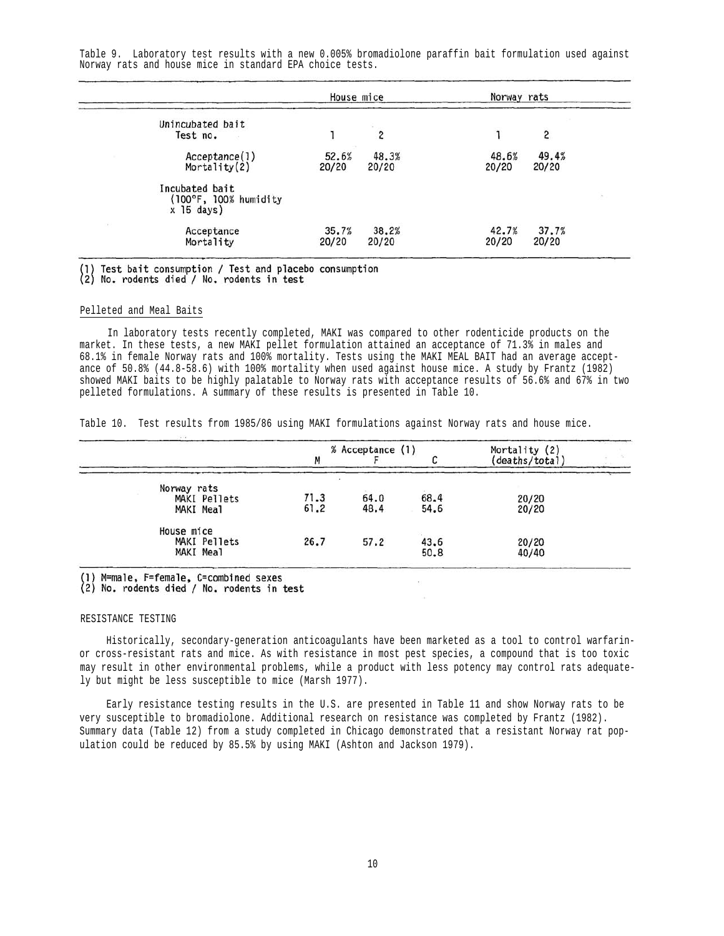Table 9. Laboratory test results with a new 0.005% bromadiolone paraffin bait formulation used against Norway rats and house mice in standard EPA choice tests.

|                                                                   | House mice     |                | Norway rats    |                |  |
|-------------------------------------------------------------------|----------------|----------------|----------------|----------------|--|
| Unincubated bait<br>Test no.                                      |                | 2              |                | 2              |  |
| Acceptance(1)<br>Mortality $(2)$                                  | 52.6%<br>20/20 | 48.3%<br>20/20 | 48.6%<br>20/20 | 49.4%<br>20/20 |  |
| Incubated bait<br>$(100^{\circ}F, 100\%$ humidity<br>$x$ 15 days) |                |                |                |                |  |
| Acceptance<br>Mortality                                           | 35.7%<br>20/20 | 38.2%<br>20/20 | 42.7%<br>20/20 | 37.7%<br>20/20 |  |

(1) Test bait consumption / Test and placebo consumption<br>(2) No. rodents died / No. rodents in test

#### Pelleted and Meal Baits

In laboratory tests recently completed, MAKI was compared to other rodenticide products on the market. In these tests, a new MAKI pellet formulation attained an acceptance of 71.3% in males and 68.1% in female Norway rats and 100% mortality. Tests using the MAKI MEAL BAIT had an average acceptance of 50.8% (44.8-58.6) with 100% mortality when used against house mice. A study by Frantz (1982) showed MAKI baits to be highly palatable to Norway rats with acceptance results of 56.6% and 67% in two pelleted formulations. A summary of these results is presented in Table 10.

Table 10. Test results from 1985/86 using MAKI formulations against Norway rats and house mice.

|                                          |              | % Acceptance (1) | Mortality (2) |                |  |
|------------------------------------------|--------------|------------------|---------------|----------------|--|
|                                          | M            |                  |               | (deaths/total  |  |
| Norway rats<br>MAKI Pellets<br>MAKI Meal | 71.3<br>61.2 | 64.0<br>48.4     | 68.4<br>54.6  | 20/20<br>20/20 |  |
| House mice<br>MAKI Pellets<br>MAKI Meal  | 26.7         | 57.2             | 43.6<br>50.8  | 20/20<br>40/40 |  |

(1) M=male, F=female, C=combined sexes

(2) No. rodents died / No. rodents in test

#### RESISTANCE TESTING

Historically, secondary-generation anticoagulants have been marketed as a tool to control warfarinor cross-resistant rats and mice. As with resistance in most pest species, a compound that is too toxic may result in other environmental problems, while a product with less potency may control rats adequately but might be less susceptible to mice (Marsh 1977).

Early resistance testing results in the U.S. are presented in Table 11 and show Norway rats to be very susceptible to bromadiolone. Additional research on resistance was completed by Frantz (1982). Summary data (Table 12) from a study completed in Chicago demonstrated that a resistant Norway rat population could be reduced by 85.5% by using MAKI (Ashton and Jackson 1979).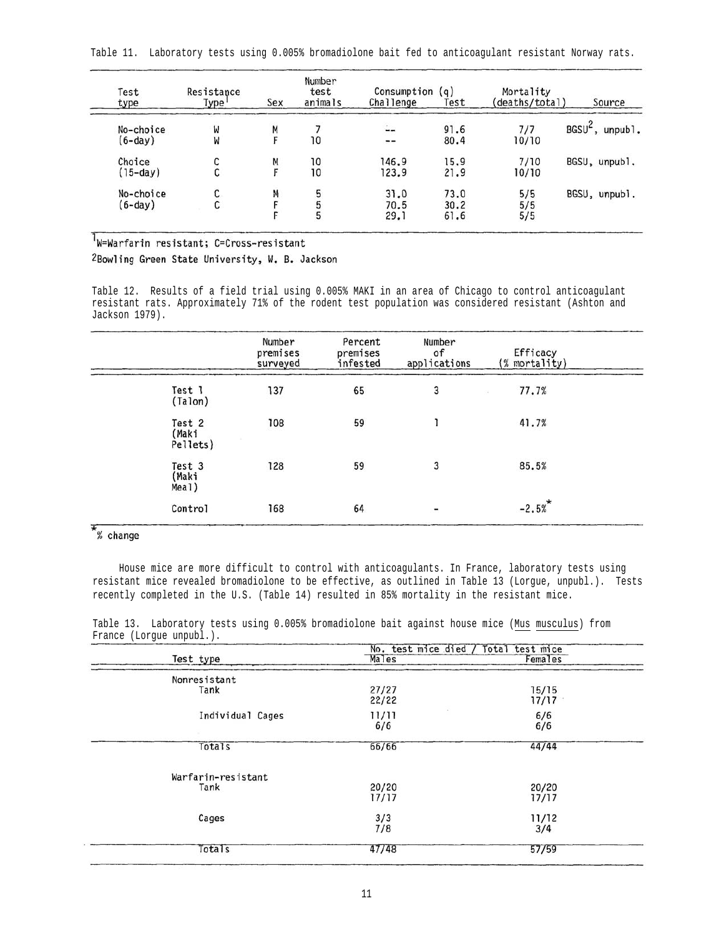|  |  |  |  |  |  |  |  |  | Table 11.  Laboratory tests using 0.005% bromadiolone bait fed to anticoaqulant resistant Norway rats. |  |  |  |  |
|--|--|--|--|--|--|--|--|--|--------------------------------------------------------------------------------------------------------|--|--|--|--|
|--|--|--|--|--|--|--|--|--|--------------------------------------------------------------------------------------------------------|--|--|--|--|

| Test<br>type           | Resistance<br>Type' | Sex | Number<br>test<br>animals | Consumption (q)<br>Challenge | Test                 | Mortality<br>(deaths/total) | Source                      |
|------------------------|---------------------|-----|---------------------------|------------------------------|----------------------|-----------------------------|-----------------------------|
| No-choice<br>$(6-day)$ | W<br>W              | М   | 10                        | $\sim$<br>$\ddotsc$          | 91.6<br>80.4         | 7/7<br>10/10                | BGSU <sup>-</sup> , unpubl. |
| Choice<br>$(15-day)$   | С<br>u              | M   | 10<br>10                  | 146.9<br>123.9               | 15.9<br>21.9         | 7/10<br>10/10               | BGSU, unpubl.               |
| No-choice<br>$(6-day)$ | C.<br>ı             | Μ   | 5<br>5<br>5               | 31.0<br>70.5<br>29.1         | 73.0<br>30.2<br>61.6 | 5/5<br>5/5<br>5/5           | BGSU, unpubl.               |

# W=Warfarin resistant; C=Cross-resistant

2Bowling Green State University, W. B. Jackson

Table 12. Results of a field trial using 0.005% MAKI in an area of Chicago to control anticoagulant resistant rats. Approximately 71% of the rodent test population was considered resistant (Ashton and Jackson 1979).

|                             | Number<br>premises<br>surveyed | Percent<br>premises<br>infested | Number<br>of<br>applications | Efficacy<br>$(% \mathcal{L}_{0})$ mortality) |
|-----------------------------|--------------------------------|---------------------------------|------------------------------|----------------------------------------------|
| Test 1<br>(Talon)           | 137                            | 65                              | 3                            | 77.7%<br>94                                  |
| Test 2<br>(Maki<br>Pellets) | 108                            | 59                              |                              | 41.7%                                        |
| Test 3<br>(Maki<br>Meal)    | 128                            | 59                              | 3                            | 85.5%                                        |
| Control                     | 168                            | 64                              | $\overline{\phantom{a}}$     | $-2.5%$                                      |

## $*_\text{% change}$

House mice are more difficult to control with anticoagulants. In France, laboratory tests using resistant mice revealed bromadiolone to be effective, as outlined in Table 13 (Lorgue, unpubl.). Tests recently completed in the U.S. (Table 14) resulted in 85% mortality in the resistant mice.

Table 13. Laboratory tests using 0.005% bromadiolone bait against house mice (Mus musculus) from France (Lorgue unpubl.).

|                    | No. test mice died /<br>Total test mice |                |  |
|--------------------|-----------------------------------------|----------------|--|
| Test type          | Males                                   | Females        |  |
| Nonresistant       |                                         |                |  |
| Tank               | 27/27<br>22/22                          | 15/15<br>17/17 |  |
| Individual Cages   | 11/11<br>6/6                            | 6/6<br>6/6     |  |
| Totals             | 66/66                                   | 44/44          |  |
| Warfarin-resistant |                                         |                |  |
| Tank               | 20/20<br>17/17                          | 20/20<br>17/17 |  |
| Cages              | 3/3<br>7/8                              | 11/12<br>3/4   |  |
| Totals             | 47/48                                   | 57/59          |  |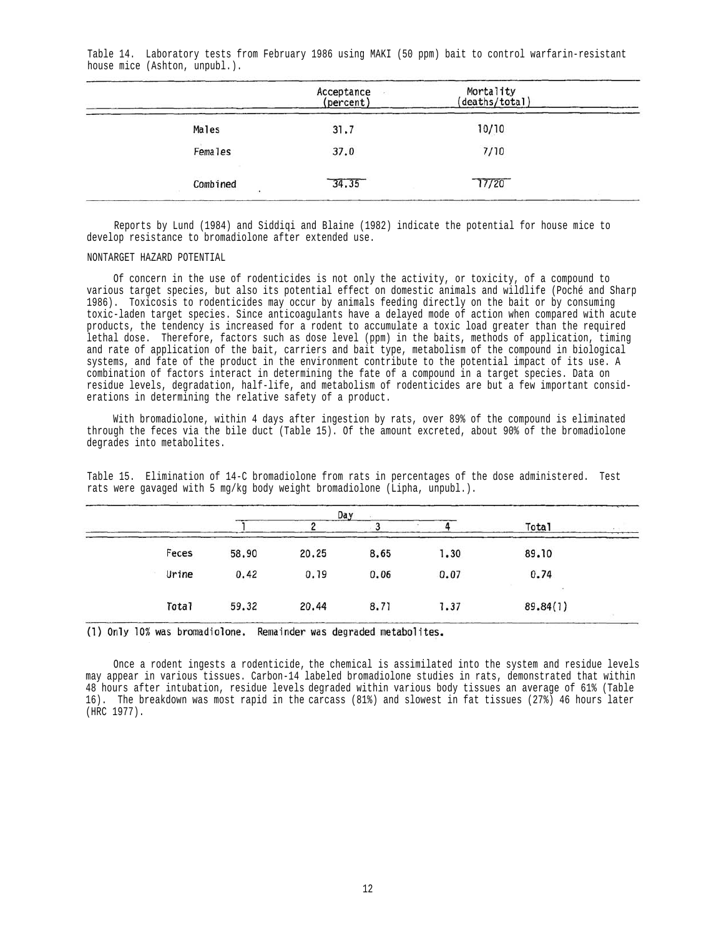|          | Acceptance<br>(percent) | Mortality<br>(deaths/total) |  |
|----------|-------------------------|-----------------------------|--|
| Males    | 31.7                    | 10/10                       |  |
| Females  | 37.0                    | 7/10                        |  |
| Combined | 34.35                   | 77/20                       |  |

Table 14. Laboratory tests from February 1986 using MAKI (50 ppm) bait to control warfarin-resistant house mice (Ashton, unpubl.).

Reports by Lund (1984) and Siddiqi and Blaine (1982) indicate the potential for house mice to develop resistance to bromadiolone after extended use.

#### NONTARGET HAZARD POTENTIAL

Of concern in the use of rodenticides is not only the activity, or toxicity, of a compound to various target species, but also its potential effect on domestic animals and wildlife (Poché and Sharp 1986). Toxicosis to rodenticides may occur by animals feeding directly on the bait or by consuming toxic-laden target species. Since anticoagulants have a delayed mode of action when compared with acute products, the tendency is increased for a rodent to accumulate a toxic load greater than the required lethal dose. Therefore, factors such as dose level (ppm) in the baits, methods of application, timing and rate of application of the bait, carriers and bait type, metabolism of the compound in biological systems, and fate of the product in the environment contribute to the potential impact of its use. A combination of factors interact in determining the fate of a compound in a target species. Data on residue levels, degradation, half-life, and metabolism of rodenticides are but a few important considerations in determining the relative safety of a product.

With bromadiolone, within 4 days after ingestion by rats, over 89% of the compound is eliminated through the feces via the bile duct (Table 15). Of the amount excreted, about 90% of the bromadiolone degrades into metabolites.

|       |       |       | Day  |      | <b>Total</b> |
|-------|-------|-------|------|------|--------------|
| Feces | 58.90 | 20.25 | 8.65 | 1.30 | 89.10        |
| Urine | 0.42  | 0.19  | 0.06 | 0.07 | 0.74         |
| Total | 59.32 | 20.44 | 8.71 | 1.37 | 89.84(1)     |

Table 15. Elimination of 14-C bromadiolone from rats in percentages of the dose administered. Test rats were gavaged with 5 mg/kg body weight bromadiolone (Lipha, unpubl.).

(1) Only 10% was bromadiolone. Remainder was degraded metabolites.

Once a rodent ingests a rodenticide, the chemical is assimilated into the system and residue levels may appear in various tissues. Carbon-14 labeled bromadiolone studies in rats, demonstrated that within 48 hours after intubation, residue levels degraded within various body tissues an average of 61% (Table 16). The breakdown was most rapid in the carcass (81%) and slowest in fat tissues (27%) 46 hours later (HRC 1977).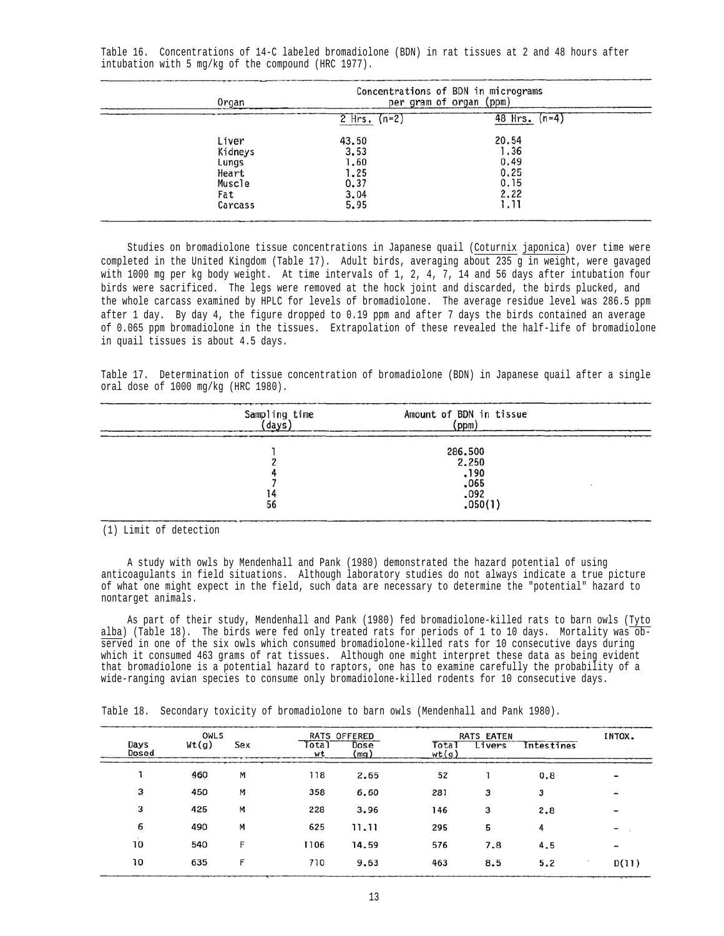Table 16. Concentrations of 14-C labeled bromadiolone (BDN) in rat tissues at 2 and 48 hours after intubation with 5 mg/kg of the compound (HRC 1977).

| Organ                                                          |                                                       | Concentrations of BDN in micrograms<br>per gram of organ (ppm) |
|----------------------------------------------------------------|-------------------------------------------------------|----------------------------------------------------------------|
|                                                                | 2 Hrs. $(n=2)$                                        | 48 Hrs.<br>$(n=4)$                                             |
| Liver<br>Kidneys<br>Lungs<br>Heart<br>Muscle<br>Fat<br>Carcass | 43.50<br>3.53<br>1.60<br>1.25<br>0.37<br>3.04<br>5.95 | 20.54<br>1.36<br>0.49<br>0.25<br>0.15<br>2.22<br>1.11          |

Studies on bromadiolone tissue concentrations in Japanese quail (Coturnix japonica) over time were completed in the United Kingdom (Table 17). Adult birds, averaging about 235 g in weight, were gavaged with 1000 mg per kg body weight. At time intervals of 1, 2, 4, 7, 14 and 56 days after intubation four birds were sacrificed. The legs were removed at the hock joint and discarded, the birds plucked, and the whole carcass examined by HPLC for levels of bromadiolone. The average residue level was 286.5 ppm after 1 day. By day 4, the figure dropped to 0.19 ppm and after 7 days the birds contained an average of 0.065 ppm bromadiolone in the tissues. Extrapolation of these revealed the half-life of bromadiolone in quail tissues is about 4.5 days.

Table 17. Determination of tissue concentration of bromadiolone (BDN) in Japanese quail after a single oral dose of 1000 mg/kg (HRC 1980).

| Sampling time<br>days | Amount of BDN in tissue<br>(ppm) |  |
|-----------------------|----------------------------------|--|
|                       | 286.500                          |  |
|                       | 2.250                            |  |
|                       | .190                             |  |
|                       | .065                             |  |
|                       | .092                             |  |
| 56                    | .050(1)                          |  |

(1) Limit of detection

A study with owls by Mendenhall and Pank (1980) demonstrated the hazard potential of using anticoagulants in field situations. Although laboratory studies do not always indicate a true picture of what one might expect in the field, such data are necessary to determine the "potential" hazard to nontarget animals.

As part of their study, Mendenhall and Pank (1980) fed bromadiolone-killed rats to barn owls (Tyto alba) (Table 18). The birds were fed only treated rats for periods of 1 to 10 days. Mortality was observed in one of the six owls which consumed bromadiolone-killed rats for 10 consecutive days during which it consumed 463 grams of rat tissues. Although one might interpret these data as being evident that bromadiolone is a potential hazard to raptors, one has to examine carefully the probability of a wide-ranging avian species to consume only bromadiolone-killed rodents for 10 consecutive days.

Table 18. Secondary toxicity of bromadiolone to barn owls (Mendenhall and Pank 1980).

| OWLS          |       |     | RATS OFFERED |              | <b>RATS EATEN</b> | INTOX. |            |       |
|---------------|-------|-----|--------------|--------------|-------------------|--------|------------|-------|
| Days<br>Dosed | Wt(g) | Sex | Total<br>wt  | Dose<br>(mq) | Tota<br>wt(q)     | Livers | Intestines |       |
|               | 460   | M   | 118          | 2.65         | 52                |        | 0.8        |       |
| 3             | 450   | M   | 358          | 6.60         | 281               | 3      | 3          |       |
| 3             | 425   | м   | 228          | 3.96         | 146               | 3      | 2.8        |       |
| 6             | 490   | м   | 625          | 11.11        | 295               | 5      | 4          |       |
| 10            | 540   | г   | 1106         | 14.59        | 576               | 7.8    | 4.5        |       |
| 10            | 635   |     | 710          | 9.63         | 463               | 8.5    | 5.2        | D(11) |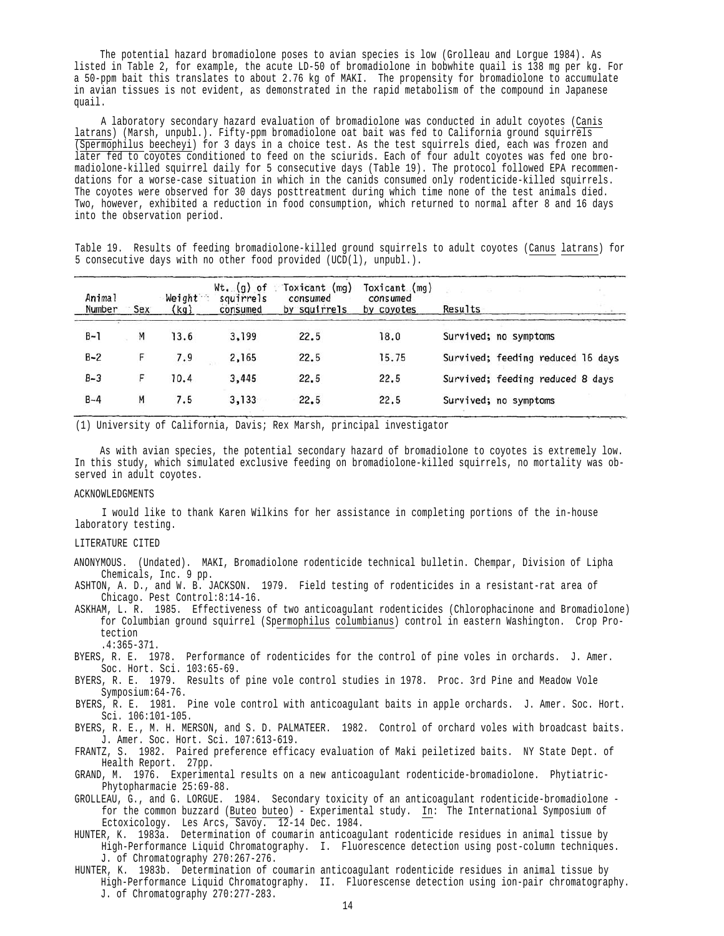The potential hazard bromadiolone poses to avian species is low (Grolleau and Lorgue 1984). As listed in Table 2, for example, the acute LD-50 of bromadiolone in bobwhite quail is 138 mg per kg. For a 50-ppm bait this translates to about 2.76 kg of MAKI. The propensity for bromadiolone to accumulate in avian tissues is not evident, as demonstrated in the rapid metabolism of the compound in Japanese quail.

A laboratory secondary hazard evaluation of bromadiolone was conducted in adult coyotes (Canis latrans) (Marsh, unpubl.). Fifty-ppm bromadiolone oat bait was fed to California ground squirrels  $\sqrt{(Spermophilus beecheyi)}$  for 3 days in a choice test. As the test squirrels died, each was frozen and later fed to coyotes conditioned to feed on the sciurids. Each of four adult coyotes was fed one bromadiolone-killed squirrel daily for 5 consecutive days (Table 19). The protocol followed EPA recommendations for a worse-case situation in which in the canids consumed only rodenticide-killed squirrels. The coyotes were observed for 30 days posttreatment during which time none of the test animals died. Two, however, exhibited a reduction in food consumption, which returned to normal after 8 and 16 days into the observation period.

Table 19. Results of feeding bromadiolone-killed ground squirrels to adult coyotes (Canus latrans) for 5 consecutive days with no other food provided (UCD(l), unpubl.).

| Animal<br>Number | Sex | Weight<br>(kq) | $Wt$ . $(g)$ of<br>squirrels<br>consumed | Toxicant (mg)<br>consumed<br>by squirrels | Toxicant (mg)<br>consumed<br>by coyotes | Results                           |
|------------------|-----|----------------|------------------------------------------|-------------------------------------------|-----------------------------------------|-----------------------------------|
| $B-1$            | Μ   | 13.6           | 3,199                                    | 22.5                                      | 18.0                                    | Survived; no symptoms             |
| $B - 2$          | F   | 7.9            | 2,165                                    | 22.5                                      | 15.75                                   | Survived; feeding reduced 16 days |
| $B-3$            |     | 10.4           | 3,445                                    | 22.5                                      | 22.5                                    | Survived; feeding reduced 8 days  |
| $B - 4$          | M   | 7.5            | 3,133                                    | 22.5                                      | 22.5                                    | Survived; no symptoms             |

(1) University of California, Davis; Rex Marsh, principal investigator

As with avian species, the potential secondary hazard of bromadiolone to coyotes is extremely low. In this study, which simulated exclusive feeding on bromadiolone-killed squirrels, no mortality was observed in adult coyotes.

#### ACKNOWLEDGMENTS

I would like to thank Karen Wilkins for her assistance in completing portions of the in-house laboratory testing.

#### LITERATURE CITED

- ANONYMOUS. (Undated). MAKI, Bromadiolone rodenticide technical bulletin. Chempar, Division of Lipha Chemicals, Inc. 9 pp.
- ASHTON, A. D., and W. B. JACKSON. 1979. Field testing of rodenticides in a resistant-rat area of Chicago. Pest Control:8:14-16.
- ASKHAM, L. R. 1985. Effectiveness of two anticoagulant rodenticides (Chlorophacinone and Bromadiolone) for Columbian ground squirrel (Spermophilus columbianus) control in eastern Washington. Crop Protection .4:365-371.
- BYERS, R. E. 1978. Performance of rodenticides for the control of pine voles in orchards. J. Amer. Soc. Hort. Sci. 103:65-69.
- BYERS, R. E. 1979. Results of pine vole control studies in 1978. Proc. 3rd Pine and Meadow Vole Symposium:64-76.
- BYERS, R. E. 1981. Pine vole control with anticoagulant baits in apple orchards. J. Amer. Soc. Hort. Sci. 106:101-105.
- BYERS, R. E., M. H. MERSON, and S. D. PALMATEER. 1982. Control of orchard voles with broadcast baits. J. Amer. Soc. Hort. Sci. 107:613-619.
- FRANTZ, S. 1982. Paired preference efficacy evaluation of Maki peiletized baits. NY State Dept. of Health Report. 27pp.
- GRAND, M. 1976. Experimental results on a new anticoagulant rodenticide-bromadiolone. Phytiatric-Phytopharmacie 25:69-88.
- GROLLEAU, G., and G. LORGUE. 1984. Secondary toxicity of an anticoagulant rodenticide-bromadiolone for the common buzzard (Buteo buteo) - Experimental study. In: The International Symposium of Ectoxicology. Les Arcs, Savoy. 12-14 Dec. 1984.
- HUNTER, K. 1983a. Determination of coumarin anticoagulant rodenticide residues in animal tissue by High-Performance Liquid Chromatography. I. Fluorescence detection using post-column techniques. J. of Chromatography 270:267-276.
- HUNTER, K. 1983b. Determination of coumarin anticoagulant rodenticide residues in animal tissue by High-Performance Liquid Chromatography. II. Fluorescense detection using ion-pair chromatography. J. of Chromatography 270:277-283.